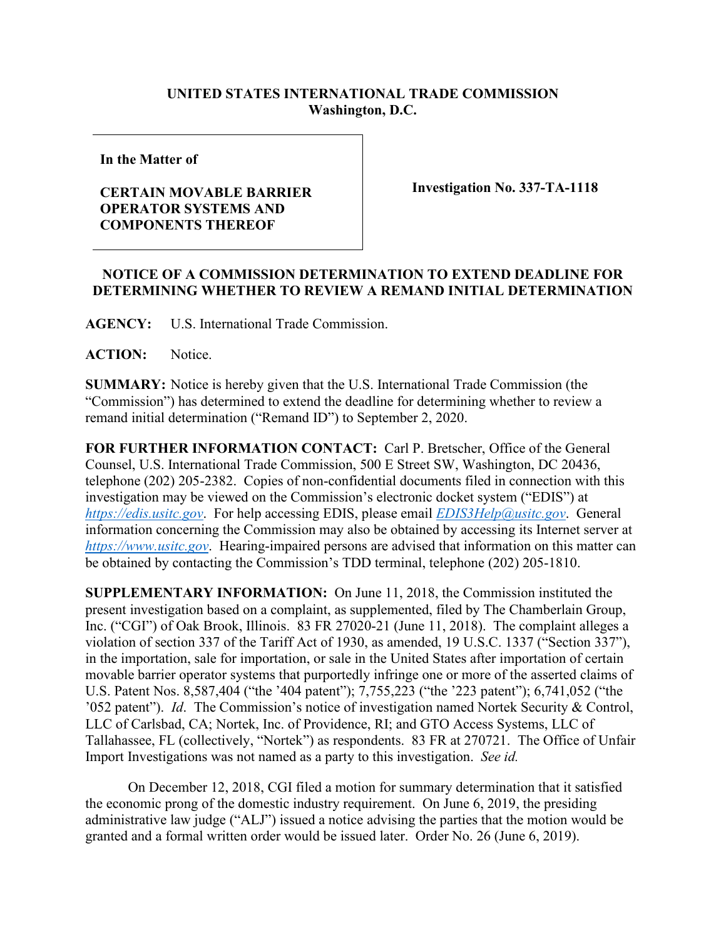## **UNITED STATES INTERNATIONAL TRADE COMMISSION Washington, D.C.**

**In the Matter of**

## **CERTAIN MOVABLE BARRIER OPERATOR SYSTEMS AND COMPONENTS THEREOF**

**Investigation No. 337-TA-1118**

## **NOTICE OF A COMMISSION DETERMINATION TO EXTEND DEADLINE FOR DETERMINING WHETHER TO REVIEW A REMAND INITIAL DETERMINATION**

**AGENCY:** U.S. International Trade Commission.

**ACTION:** Notice.

**SUMMARY:** Notice is hereby given that the U.S. International Trade Commission (the "Commission") has determined to extend the deadline for determining whether to review a remand initial determination ("Remand ID") to September 2, 2020.

**FOR FURTHER INFORMATION CONTACT:** Carl P. Bretscher, Office of the General Counsel, U.S. International Trade Commission, 500 E Street SW, Washington, DC 20436, telephone (202) 205-2382. Copies of non-confidential documents filed in connection with this investigation may be viewed on the Commission's electronic docket system ("EDIS") at *[https://edis.usitc.gov](https://edis.usitc.gov/)*. For help accessing EDIS, please email *[EDIS3Help@usitc.gov](mailto:EDIS3Help@usitc.gov)*. General information concerning the Commission may also be obtained by accessing its Internet server at *[https://www.usitc.gov](https://www.usitc.gov/)*. Hearing-impaired persons are advised that information on this matter can be obtained by contacting the Commission's TDD terminal, telephone (202) 205-1810.

**SUPPLEMENTARY INFORMATION:** On June 11, 2018, the Commission instituted the present investigation based on a complaint, as supplemented, filed by The Chamberlain Group, Inc. ("CGI") of Oak Brook, Illinois. 83 FR 27020-21 (June 11, 2018). The complaint alleges a violation of section 337 of the Tariff Act of 1930, as amended, 19 U.S.C. 1337 ("Section 337"), in the importation, sale for importation, or sale in the United States after importation of certain movable barrier operator systems that purportedly infringe one or more of the asserted claims of U.S. Patent Nos. 8,587,404 ("the '404 patent"); 7,755,223 ("the '223 patent"); 6,741,052 ("the '052 patent"). *Id*. The Commission's notice of investigation named Nortek Security & Control, LLC of Carlsbad, CA; Nortek, Inc. of Providence, RI; and GTO Access Systems, LLC of Tallahassee, FL (collectively, "Nortek") as respondents. 83 FR at 270721. The Office of Unfair Import Investigations was not named as a party to this investigation. *See id.*

On December 12, 2018, CGI filed a motion for summary determination that it satisfied the economic prong of the domestic industry requirement. On June 6, 2019, the presiding administrative law judge ("ALJ") issued a notice advising the parties that the motion would be granted and a formal written order would be issued later. Order No. 26 (June 6, 2019).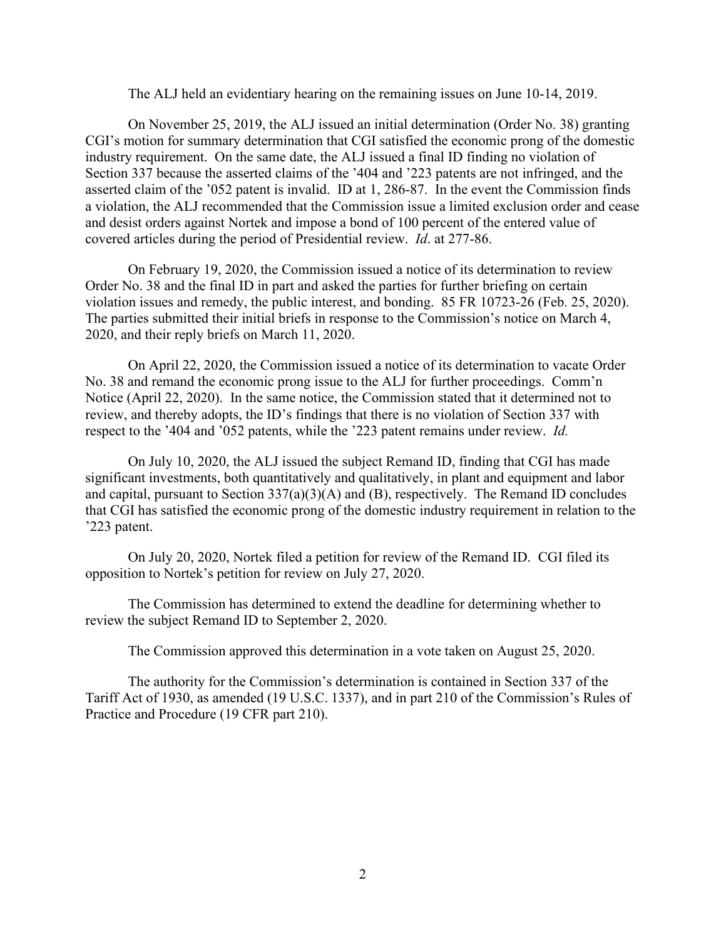The ALJ held an evidentiary hearing on the remaining issues on June 10-14, 2019.

On November 25, 2019, the ALJ issued an initial determination (Order No. 38) granting CGI's motion for summary determination that CGI satisfied the economic prong of the domestic industry requirement. On the same date, the ALJ issued a final ID finding no violation of Section 337 because the asserted claims of the '404 and '223 patents are not infringed, and the asserted claim of the '052 patent is invalid. ID at 1, 286-87. In the event the Commission finds a violation, the ALJ recommended that the Commission issue a limited exclusion order and cease and desist orders against Nortek and impose a bond of 100 percent of the entered value of covered articles during the period of Presidential review. *Id*. at 277-86.

On February 19, 2020, the Commission issued a notice of its determination to review Order No. 38 and the final ID in part and asked the parties for further briefing on certain violation issues and remedy, the public interest, and bonding. 85 FR 10723-26 (Feb. 25, 2020). The parties submitted their initial briefs in response to the Commission's notice on March 4, 2020, and their reply briefs on March 11, 2020.

On April 22, 2020, the Commission issued a notice of its determination to vacate Order No. 38 and remand the economic prong issue to the ALJ for further proceedings. Comm'n Notice (April 22, 2020). In the same notice, the Commission stated that it determined not to review, and thereby adopts, the ID's findings that there is no violation of Section 337 with respect to the '404 and '052 patents, while the '223 patent remains under review. *Id.*

On July 10, 2020, the ALJ issued the subject Remand ID, finding that CGI has made significant investments, both quantitatively and qualitatively, in plant and equipment and labor and capital, pursuant to Section 337(a)(3)(A) and (B), respectively. The Remand ID concludes that CGI has satisfied the economic prong of the domestic industry requirement in relation to the '223 patent.

On July 20, 2020, Nortek filed a petition for review of the Remand ID. CGI filed its opposition to Nortek's petition for review on July 27, 2020.

The Commission has determined to extend the deadline for determining whether to review the subject Remand ID to September 2, 2020.

The Commission approved this determination in a vote taken on August 25, 2020.

The authority for the Commission's determination is contained in Section 337 of the Tariff Act of 1930, as amended (19 U.S.C. 1337), and in part 210 of the Commission's Rules of Practice and Procedure (19 CFR part 210).